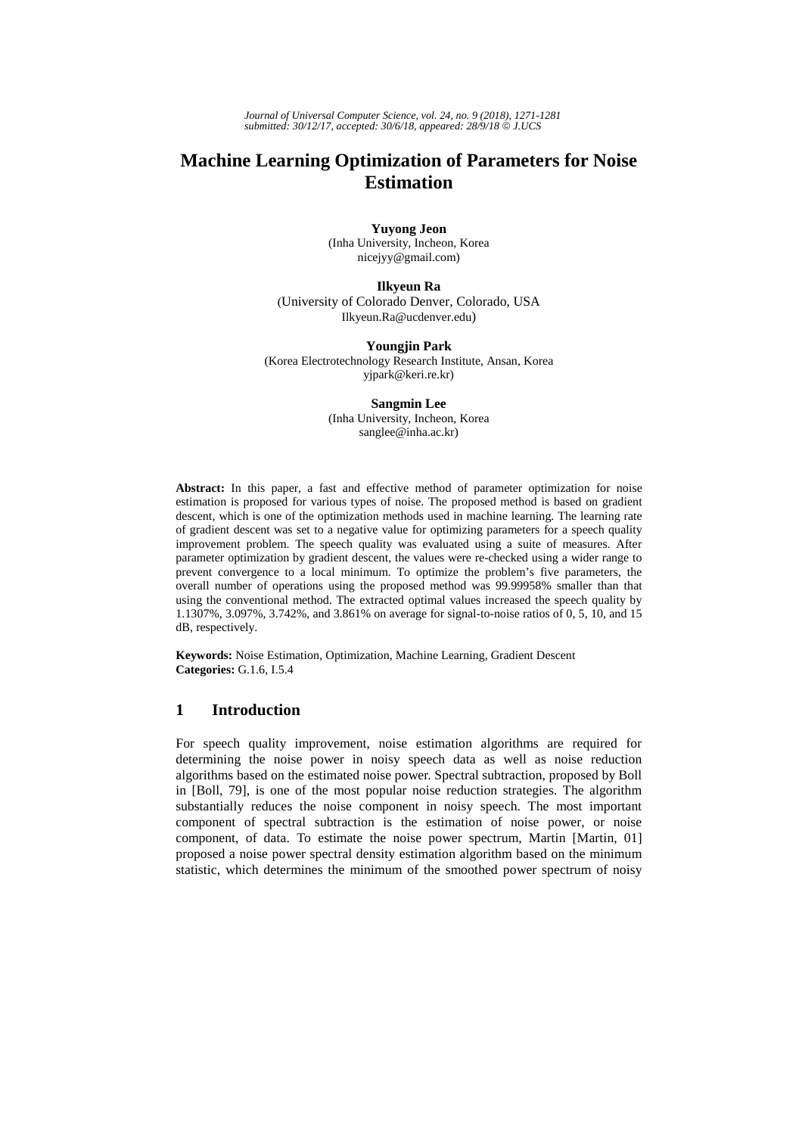*Journal of Universal Computer Science, vol. 24, no. 9 (2018), 1271-1281 submitted: 30/12/17, accepted: 30/6/18, appeared: 28/9/18* © *J.UCS*

# **Machine Learning Optimization of Parameters for Noise Estimation**

**Yuyong Jeon**  (Inha University, Incheon, Korea nicejyy@gmail.com)

**Ilkyeun Ra** 

(University of Colorado Denver, Colorado, USA Ilkyeun.Ra@ucdenver.edu)

**Youngjin Park** (Korea Electrotechnology Research Institute, Ansan, Korea yjpark@keri.re.kr)

> **Sangmin Lee** (Inha University, Incheon, Korea sanglee@inha.ac.kr)

**Abstract:** In this paper, a fast and effective method of parameter optimization for noise estimation is proposed for various types of noise. The proposed method is based on gradient descent, which is one of the optimization methods used in machine learning. The learning rate of gradient descent was set to a negative value for optimizing parameters for a speech quality improvement problem. The speech quality was evaluated using a suite of measures. After parameter optimization by gradient descent, the values were re-checked using a wider range to prevent convergence to a local minimum. To optimize the problem's five parameters, the overall number of operations using the proposed method was 99.99958% smaller than that using the conventional method. The extracted optimal values increased the speech quality by 1.1307%, 3.097%, 3.742%, and 3.861% on average for signal-to-noise ratios of 0, 5, 10, and 15 dB, respectively.

**Keywords:** Noise Estimation, Optimization, Machine Learning, Gradient Descent **Categories:** G.1.6, I.5.4

# **1 Introduction**

For speech quality improvement, noise estimation algorithms are required for determining the noise power in noisy speech data as well as noise reduction algorithms based on the estimated noise power. Spectral subtraction, proposed by Boll in [Boll, 79], is one of the most popular noise reduction strategies. The algorithm substantially reduces the noise component in noisy speech. The most important component of spectral subtraction is the estimation of noise power, or noise component, of data. To estimate the noise power spectrum, Martin [Martin, 01] proposed a noise power spectral density estimation algorithm based on the minimum statistic, which determines the minimum of the smoothed power spectrum of noisy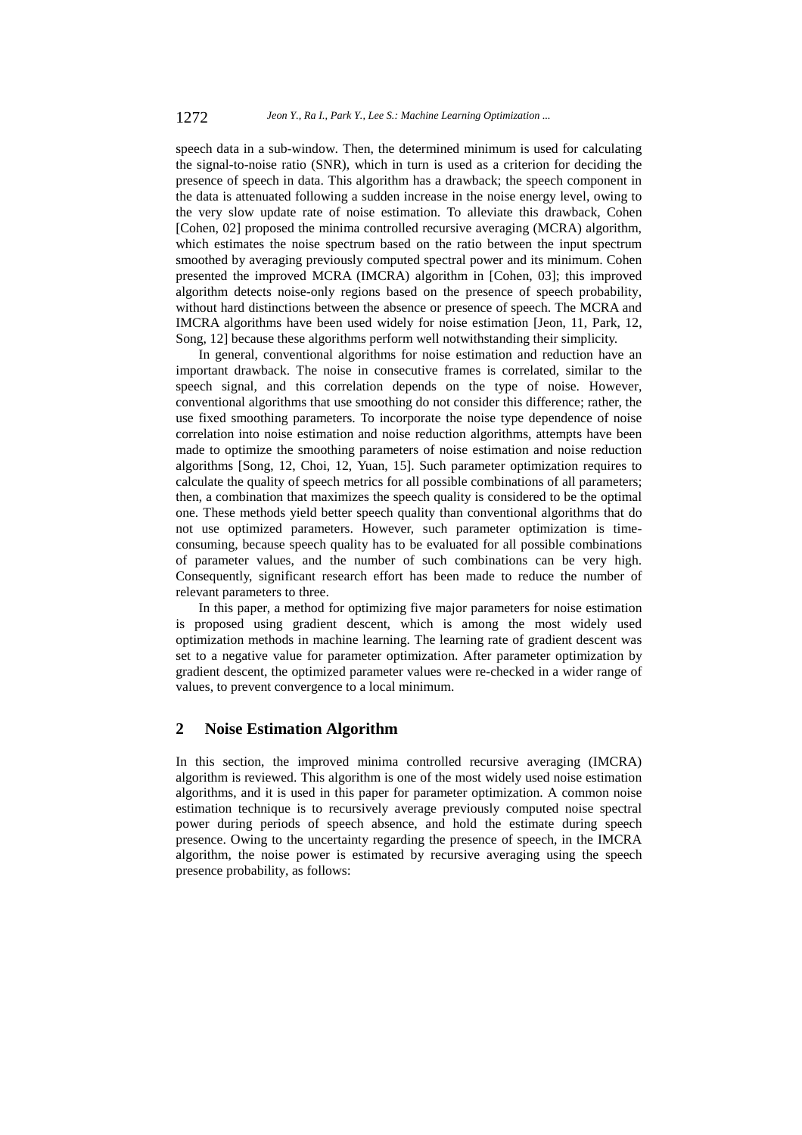speech data in a sub-window. Then, the determined minimum is used for calculating the signal-to-noise ratio (SNR), which in turn is used as a criterion for deciding the presence of speech in data. This algorithm has a drawback; the speech component in the data is attenuated following a sudden increase in the noise energy level, owing to the very slow update rate of noise estimation. To alleviate this drawback, Cohen [Cohen, 02] proposed the minima controlled recursive averaging (MCRA) algorithm, which estimates the noise spectrum based on the ratio between the input spectrum smoothed by averaging previously computed spectral power and its minimum. Cohen presented the improved MCRA (IMCRA) algorithm in [Cohen, 03]; this improved algorithm detects noise-only regions based on the presence of speech probability, without hard distinctions between the absence or presence of speech. The MCRA and IMCRA algorithms have been used widely for noise estimation [Jeon, 11, Park, 12, Song, 12] because these algorithms perform well notwithstanding their simplicity.

In general, conventional algorithms for noise estimation and reduction have an important drawback. The noise in consecutive frames is correlated, similar to the speech signal, and this correlation depends on the type of noise. However, conventional algorithms that use smoothing do not consider this difference; rather, the use fixed smoothing parameters. To incorporate the noise type dependence of noise correlation into noise estimation and noise reduction algorithms, attempts have been made to optimize the smoothing parameters of noise estimation and noise reduction algorithms [Song, 12, Choi, 12, Yuan, 15]. Such parameter optimization requires to calculate the quality of speech metrics for all possible combinations of all parameters; then, a combination that maximizes the speech quality is considered to be the optimal one. These methods yield better speech quality than conventional algorithms that do not use optimized parameters. However, such parameter optimization is timeconsuming, because speech quality has to be evaluated for all possible combinations of parameter values, and the number of such combinations can be very high. Consequently, significant research effort has been made to reduce the number of relevant parameters to three.

In this paper, a method for optimizing five major parameters for noise estimation is proposed using gradient descent, which is among the most widely used optimization methods in machine learning. The learning rate of gradient descent was set to a negative value for parameter optimization. After parameter optimization by gradient descent, the optimized parameter values were re-checked in a wider range of values, to prevent convergence to a local minimum.

### **2 Noise Estimation Algorithm**

In this section, the improved minima controlled recursive averaging (IMCRA) algorithm is reviewed. This algorithm is one of the most widely used noise estimation algorithms, and it is used in this paper for parameter optimization. A common noise estimation technique is to recursively average previously computed noise spectral power during periods of speech absence, and hold the estimate during speech presence. Owing to the uncertainty regarding the presence of speech, in the IMCRA algorithm, the noise power is estimated by recursive averaging using the speech presence probability, as follows: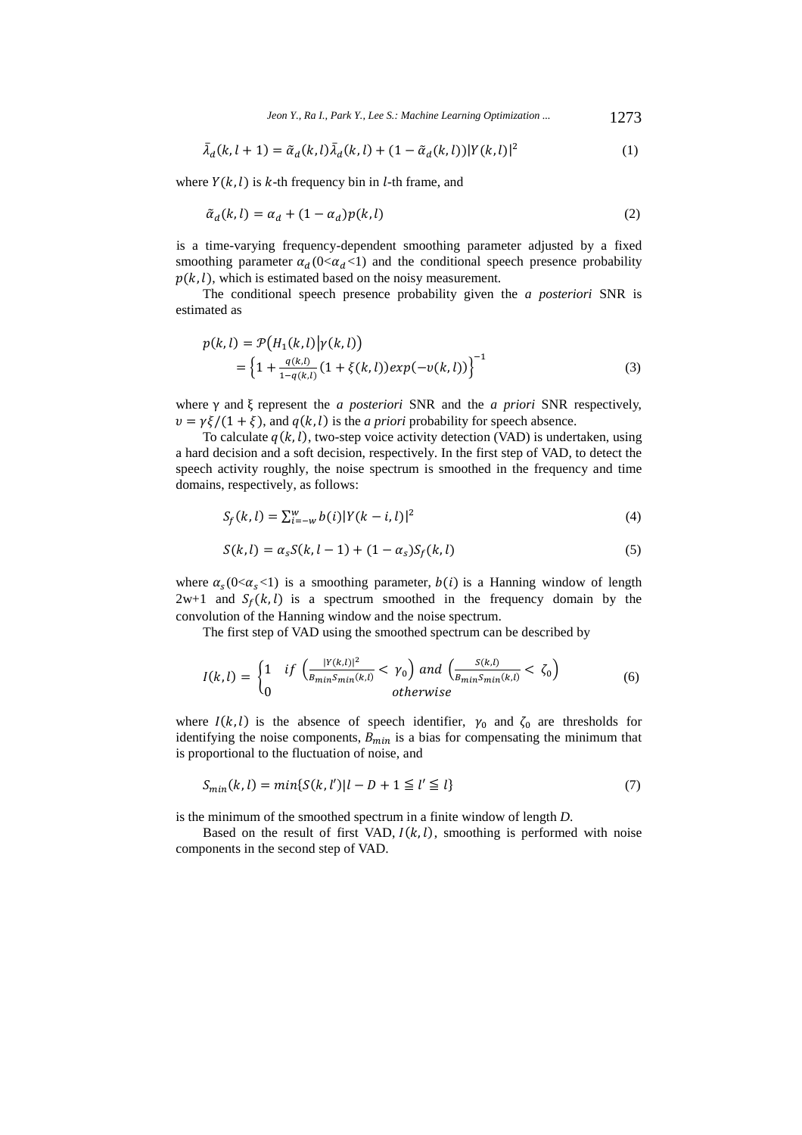*Jeon Y., Ra I., Park Y., Lee S.: Machine Learning Optimization ...* 1273

$$
\bar{\lambda}_d(k, l+1) = \tilde{\alpha}_d(k, l)\bar{\lambda}_d(k, l) + (1 - \tilde{\alpha}_d(k, l))|Y(k, l)|^2
$$
\n(1)

where  $Y(k, l)$  is k-th frequency bin in l-th frame, and

$$
\tilde{\alpha}_d(k,l) = \alpha_d + (1 - \alpha_d)p(k,l) \tag{2}
$$

 is a time-varying frequency-dependent smoothing parameter adjusted by a fixed smoothing parameter  $\alpha_d$  (0< $\alpha_d$ <1) and the conditional speech presence probability  $p(k, l)$ , which is estimated based on the noisy measurement.

 The conditional speech presence probability given the *a posteriori* SNR is estimated as

$$
p(k, l) = \mathcal{P}\big(H_1(k, l)|\gamma(k, l)\big) = \Big\{1 + \frac{q(k, l)}{1 - q(k, l)} (1 + \xi(k, l)) exp(-v(k, l))\Big\}^{-1}
$$
(3)

where γ and ξ represent the *a posteriori* SNR and the *a priori* SNR respectively,  $v = \gamma \xi/(1 + \xi)$ , and  $q(k, l)$  is the *a priori* probability for speech absence.

To calculate  $q(k, l)$ , two-step voice activity detection (VAD) is undertaken, using a hard decision and a soft decision, respectively. In the first step of VAD, to detect the speech activity roughly, the noise spectrum is smoothed in the frequency and time domains, respectively, as follows:

$$
S_f(k, l) = \sum_{i=-w}^{w} b(i) |Y(k-i, l)|^2
$$
\n(4)

$$
S(k, l) = \alpha_s S(k, l - 1) + (1 - \alpha_s) S_f(k, l)
$$
\n(5)

where  $\alpha_s(0<\alpha_s<1)$  is a smoothing parameter,  $b(i)$  is a Hanning window of length  $2w+1$  and  $S_f(k, l)$  is a spectrum smoothed in the frequency domain by the convolution of the Hanning window and the noise spectrum.

The first step of VAD using the smoothed spectrum can be described by

$$
I(k,l) = \begin{cases} 1 & \text{if } \left( \frac{|Y(k,l)|^2}{B_{\min} S_{\min}(k,l)} < \gamma_0 \right) \text{ and } \left( \frac{S(k,l)}{B_{\min} S_{\min}(k,l)} < \zeta_0 \right) \\ 0 & \text{otherwise} \end{cases} \tag{6}
$$

where  $I(k, l)$  is the absence of speech identifier,  $\gamma_0$  and  $\zeta_0$  are thresholds for identifying the noise components,  $B_{min}$  is a bias for compensating the minimum that is proportional to the fluctuation of noise, and

$$
S_{min}(k, l) = min\{S(k, l')|l - D + 1 \le l' \le l\}
$$
\n(7)

is the minimum of the smoothed spectrum in a finite window of length *D*.

Based on the result of first VAD,  $I(k, l)$ , smoothing is performed with noise components in the second step of VAD.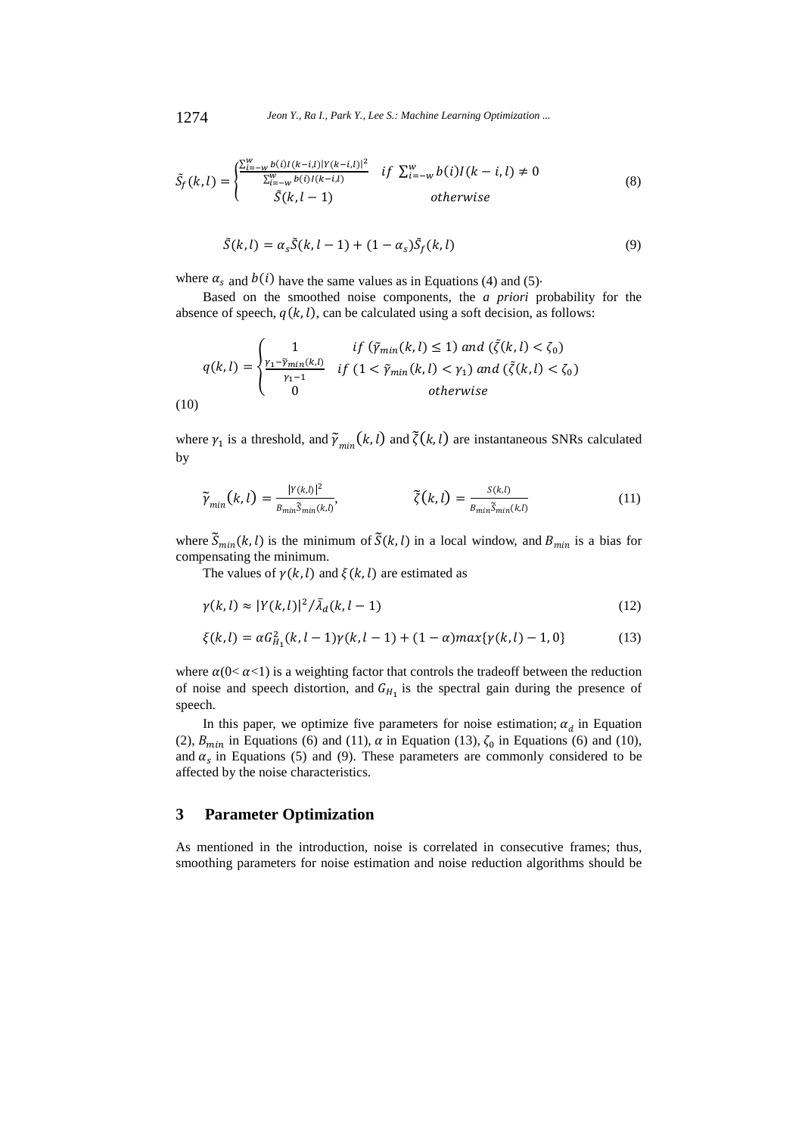$$
\tilde{S}_f(k,l) = \begin{cases} \frac{\sum_{i=-w}^{w} b(i)I(k-i,l)|Y(k-i,l)|^2}{\sum_{i=-w}^{w} b(i)I(k-i,l)} & if \sum_{i=-w}^{w} b(i)I(k-i,l) \neq 0\\ \tilde{S}(k,l-1) & otherwise \end{cases}
$$
(8)

$$
\tilde{S}(k,l) = \alpha_s \tilde{S}(k,l-1) + (1 - \alpha_s) \tilde{S}_f(k,l)
$$
\n(9)

where  $\alpha_s$  and  $b(i)$  have the same values as in Equations (4) and (5).

 Based on the smoothed noise components, the *a priori* probability for the absence of speech,  $q(k, l)$ , can be calculated using a soft decision, as follows:

$$
q(k,l) = \begin{cases} 1 & \text{if } (\tilde{\gamma}_{min}(k,l) \le 1) \text{ and } (\tilde{\zeta}(k,l) < \zeta_0) \\ \frac{\gamma_1 - \tilde{\gamma}_{min}(k,l)}{\gamma_1 - 1} & \text{if } (1 < \tilde{\gamma}_{min}(k,l) < \gamma_1) \text{ and } (\tilde{\zeta}(k,l) < \zeta_0) \\ 0 & \text{otherwise} \end{cases}
$$
\n
$$
(10)
$$

where  $\gamma_1$  is a threshold, and  $\tilde{\gamma}_{min}(k, l)$  and  $\tilde{\zeta}(k, l)$  are instantaneous SNRs calculated by

$$
\widetilde{\gamma}_{min}(k,l) = \frac{|Y(k,l)|^2}{B_{min}\widetilde{S}_{min}(k,l)}, \qquad \widetilde{\zeta}(k,l) = \frac{S(k,l)}{B_{min}\widetilde{S}_{min}(k,l)} \tag{11}
$$

where  $\tilde{S}_{min}(k, l)$  is the minimum of  $\tilde{S}(k, l)$  in a local window, and  $B_{min}$  is a bias for compensating the minimum.

The values of  $\gamma(k, l)$  and  $\xi(k, l)$  are estimated as

$$
\gamma(k,l) \approx |Y(k,l)|^2 / \bar{\lambda}_d(k,l-1)
$$
\n(12)

$$
\xi(k,l) = \alpha G_{H_1}^2(k,l-1)\gamma(k,l-1) + (1-\alpha) \max\{\gamma(k,l) - 1, 0\} \tag{13}
$$

where  $\alpha$ (0<  $\alpha$ <1) is a weighting factor that controls the tradeoff between the reduction of noise and speech distortion, and  $G_{H_1}$  is the spectral gain during the presence of speech.

In this paper, we optimize five parameters for noise estimation;  $\alpha_d$  in Equation (2),  $B_{min}$  in Equations (6) and (11),  $\alpha$  in Equation (13),  $\zeta_0$  in Equations (6) and (10), and  $\alpha_s$  in Equations (5) and (9). These parameters are commonly considered to be affected by the noise characteristics.

#### **3 Parameter Optimization**

As mentioned in the introduction, noise is correlated in consecutive frames; thus, smoothing parameters for noise estimation and noise reduction algorithms should be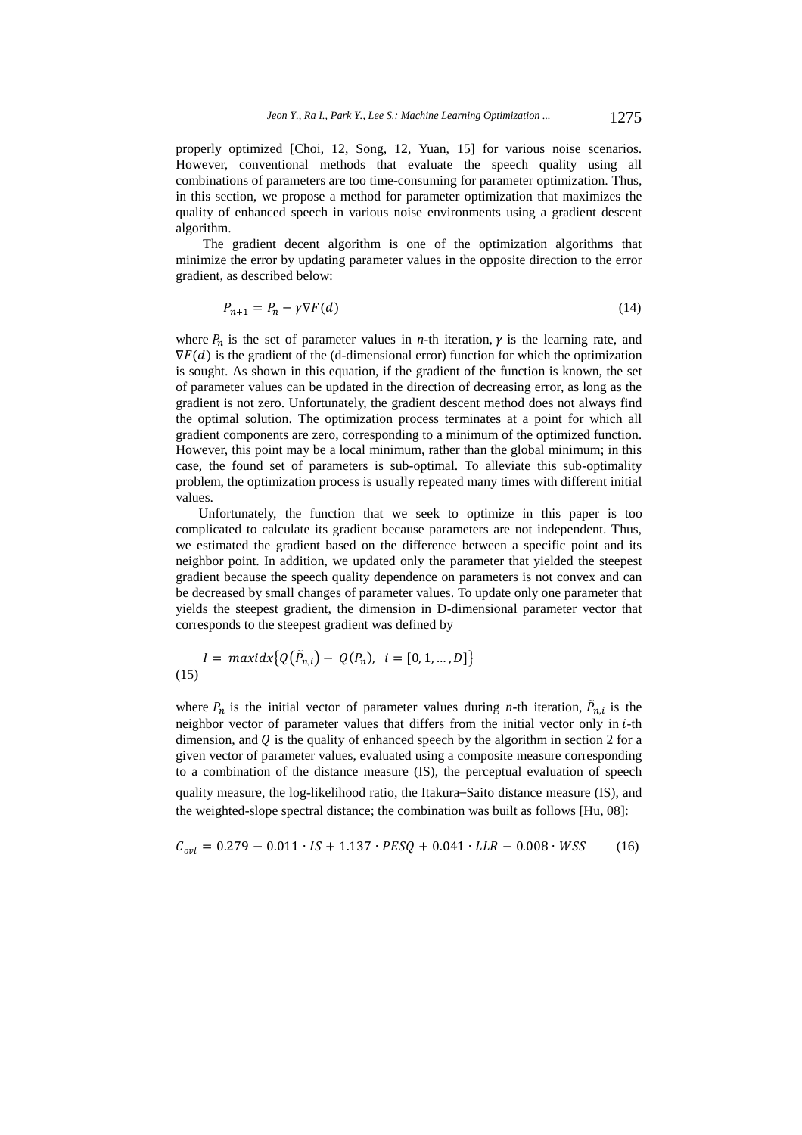properly optimized [Choi, 12, Song, 12, Yuan, 15] for various noise scenarios. However, conventional methods that evaluate the speech quality using all combinations of parameters are too time-consuming for parameter optimization. Thus, in this section, we propose a method for parameter optimization that maximizes the quality of enhanced speech in various noise environments using a gradient descent algorithm.

 The gradient decent algorithm is one of the optimization algorithms that minimize the error by updating parameter values in the opposite direction to the error gradient, as described below:

$$
P_{n+1} = P_n - \gamma \nabla F(d) \tag{14}
$$

where  $P_n$  is the set of parameter values in *n*-th iteration,  $\gamma$  is the learning rate, and  $\nabla F(d)$  is the gradient of the (d-dimensional error) function for which the optimization is sought. As shown in this equation, if the gradient of the function is known, the set of parameter values can be updated in the direction of decreasing error, as long as the gradient is not zero. Unfortunately, the gradient descent method does not always find the optimal solution. The optimization process terminates at a point for which all gradient components are zero, corresponding to a minimum of the optimized function. However, this point may be a local minimum, rather than the global minimum; in this case, the found set of parameters is sub-optimal. To alleviate this sub-optimality problem, the optimization process is usually repeated many times with different initial values.

Unfortunately, the function that we seek to optimize in this paper is too complicated to calculate its gradient because parameters are not independent. Thus, we estimated the gradient based on the difference between a specific point and its neighbor point. In addition, we updated only the parameter that yielded the steepest gradient because the speech quality dependence on parameters is not convex and can be decreased by small changes of parameter values. To update only one parameter that yields the steepest gradient, the dimension in D-dimensional parameter vector that corresponds to the steepest gradient was defined by

$$
I = \max{idx\{Q(\tilde{P}_{n,i}) - Q(P_n), i = [0, 1, ..., D]\}}
$$
(15)

where  $P_n$  is the initial vector of parameter values during *n*-th iteration,  $\tilde{P}_{n,i}$  is the neighbor vector of parameter values that differs from the initial vector only in *i*-th dimension, and  $Q$  is the quality of enhanced speech by the algorithm in section 2 for a given vector of parameter values, evaluated using a composite measure corresponding to a combination of the distance measure (IS), the perceptual evaluation of speech quality measure, the log-likelihood ratio, the Itakura–Saito distance measure (IS), and the weighted-slope spectral distance; the combination was built as follows [Hu, 08]:

$$
C_{ovl} = 0.279 - 0.011 \cdot IS + 1.137 \cdot PESQ + 0.041 \cdot LLR - 0.008 \cdot WSS \tag{16}
$$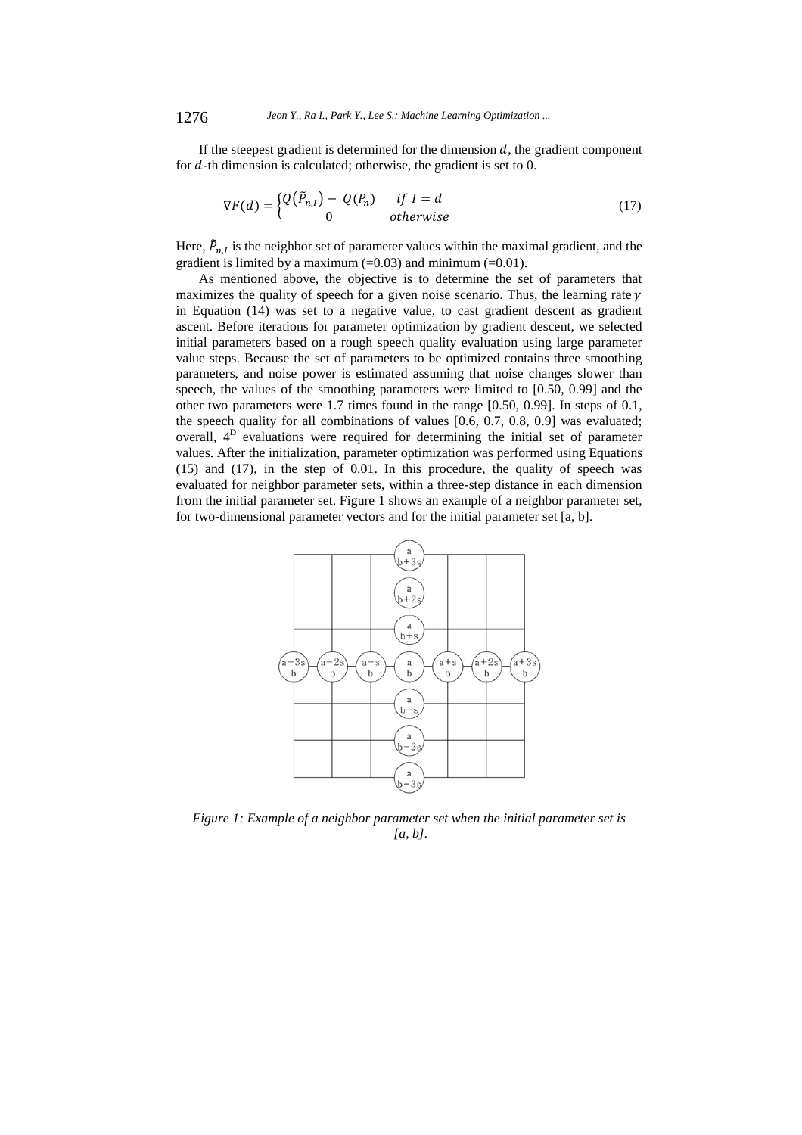If the steepest gradient is determined for the dimension  $d$ , the gradient component for  $d$ -th dimension is calculated; otherwise, the gradient is set to 0.

$$
\nabla F(d) = \begin{cases} Q(\tilde{P}_{n,l}) - Q(P_n) & \text{if } l = d \\ 0 & \text{otherwise} \end{cases}
$$
 (17)

Here,  $\tilde{P}_{n,l}$  is the neighbor set of parameter values within the maximal gradient, and the gradient is limited by a maximum  $(=0.03)$  and minimum  $(=0.01)$ .

As mentioned above, the objective is to determine the set of parameters that maximizes the quality of speech for a given noise scenario. Thus, the learning rate  $\gamma$ in Equation (14) was set to a negative value, to cast gradient descent as gradient ascent. Before iterations for parameter optimization by gradient descent, we selected initial parameters based on a rough speech quality evaluation using large parameter value steps. Because the set of parameters to be optimized contains three smoothing parameters, and noise power is estimated assuming that noise changes slower than speech, the values of the smoothing parameters were limited to [0.50, 0.99] and the other two parameters were 1.7 times found in the range [0.50, 0.99]. In steps of 0.1, the speech quality for all combinations of values [0.6, 0.7, 0.8, 0.9] was evaluated; overall, 4D evaluations were required for determining the initial set of parameter values. After the initialization, parameter optimization was performed using Equations (15) and (17), in the step of 0.01. In this procedure, the quality of speech was evaluated for neighbor parameter sets, within a three-step distance in each dimension from the initial parameter set. Figure 1 shows an example of a neighbor parameter set, for two-dimensional parameter vectors and for the initial parameter set [a, b].



*Figure 1: Example of a neighbor parameter set when the initial parameter set is [a, b].*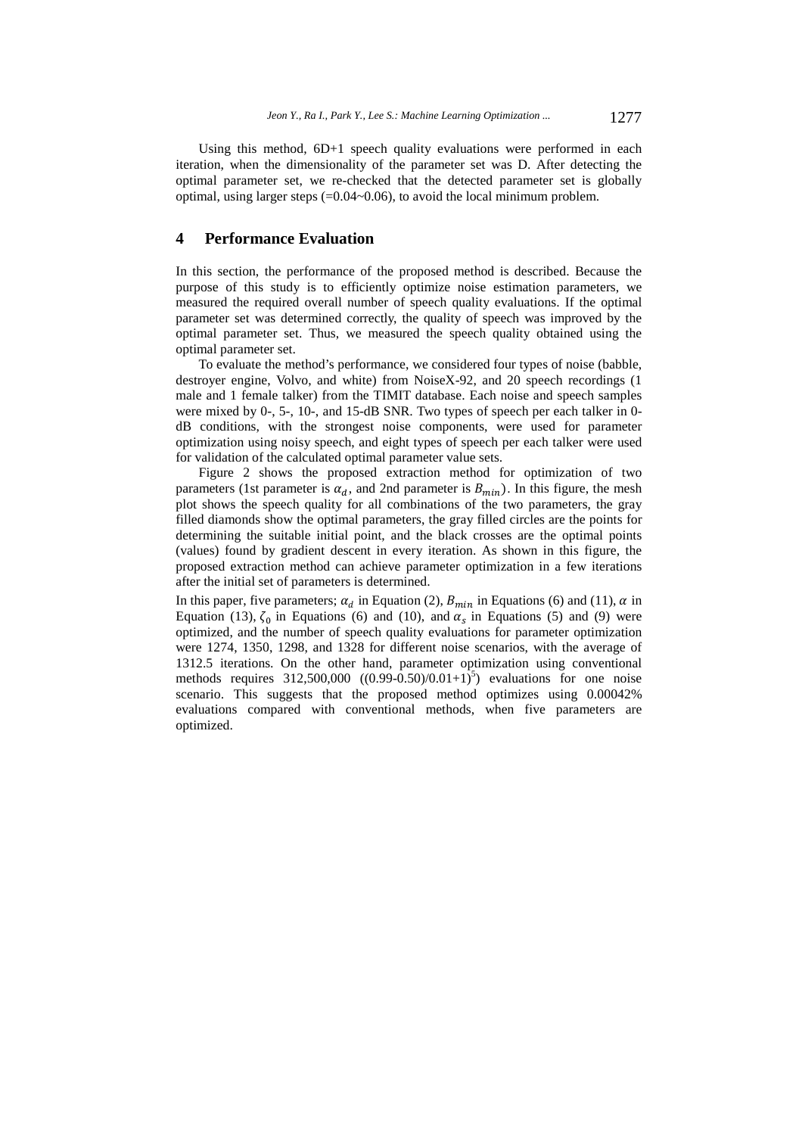Using this method, 6D+1 speech quality evaluations were performed in each iteration, when the dimensionality of the parameter set was D. After detecting the optimal parameter set, we re-checked that the detected parameter set is globally optimal, using larger steps (=0.04~0.06), to avoid the local minimum problem.

#### **4 Performance Evaluation**

In this section, the performance of the proposed method is described. Because the purpose of this study is to efficiently optimize noise estimation parameters, we measured the required overall number of speech quality evaluations. If the optimal parameter set was determined correctly, the quality of speech was improved by the optimal parameter set. Thus, we measured the speech quality obtained using the optimal parameter set.

To evaluate the method's performance, we considered four types of noise (babble, destroyer engine, Volvo, and white) from NoiseX-92, and 20 speech recordings (1 male and 1 female talker) from the TIMIT database. Each noise and speech samples were mixed by 0-, 5-, 10-, and 15-dB SNR. Two types of speech per each talker in 0 dB conditions, with the strongest noise components, were used for parameter optimization using noisy speech, and eight types of speech per each talker were used for validation of the calculated optimal parameter value sets.

Figure 2 shows the proposed extraction method for optimization of two parameters (1st parameter is  $\alpha_d$ , and 2nd parameter is  $B_{min}$ ). In this figure, the mesh plot shows the speech quality for all combinations of the two parameters, the gray filled diamonds show the optimal parameters, the gray filled circles are the points for determining the suitable initial point, and the black crosses are the optimal points (values) found by gradient descent in every iteration. As shown in this figure, the proposed extraction method can achieve parameter optimization in a few iterations after the initial set of parameters is determined.

In this paper, five parameters;  $\alpha_d$  in Equation (2),  $B_{min}$  in Equations (6) and (11),  $\alpha$  in Equation (13),  $\zeta_0$  in Equations (6) and (10), and  $\alpha_s$  in Equations (5) and (9) were optimized, and the number of speech quality evaluations for parameter optimization were 1274, 1350, 1298, and 1328 for different noise scenarios, with the average of 1312.5 iterations. On the other hand, parameter optimization using conventional methods requires 312,500,000  $((0.99 - 0.50)/0.01 + 1)^5$  evaluations for one noise scenario. This suggests that the proposed method optimizes using 0.00042% evaluations compared with conventional methods, when five parameters are optimized.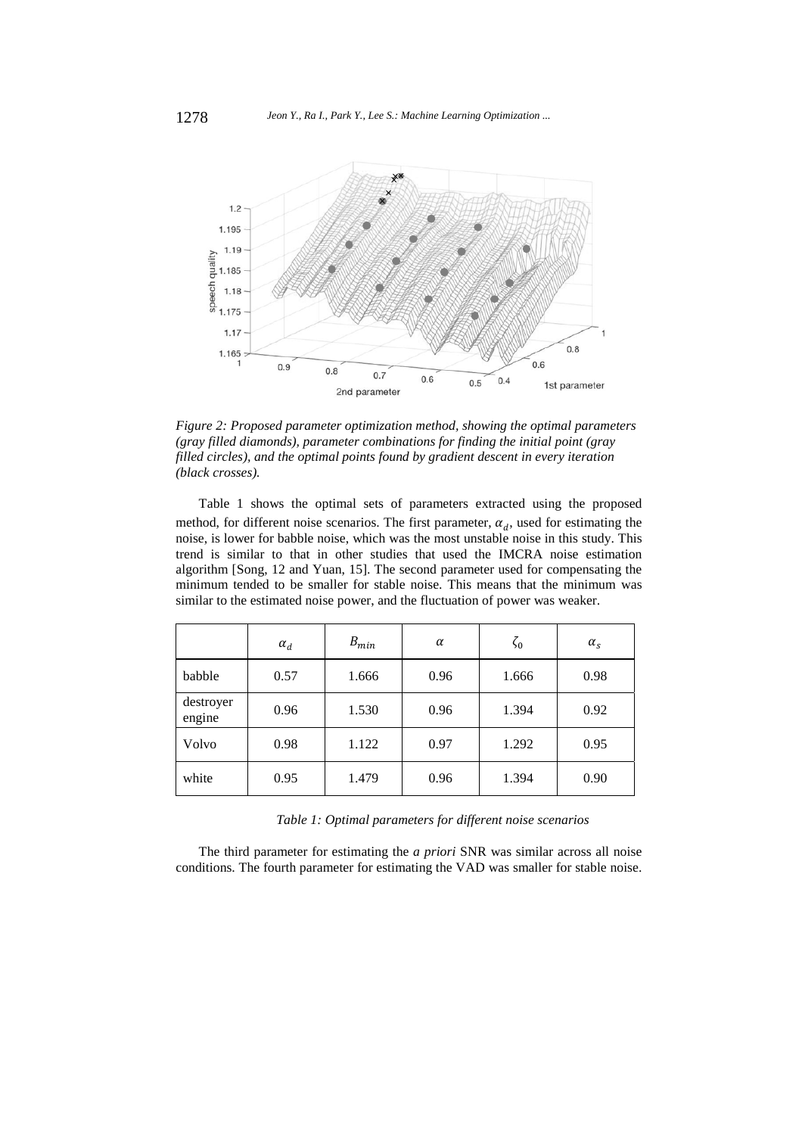

*Figure 2: Proposed parameter optimization method, showing the optimal parameters (gray filled diamonds), parameter combinations for finding the initial point (gray filled circles), and the optimal points found by gradient descent in every iteration (black crosses).* 

Table 1 shows the optimal sets of parameters extracted using the proposed method, for different noise scenarios. The first parameter,  $\alpha_d$ , used for estimating the noise, is lower for babble noise, which was the most unstable noise in this study. This trend is similar to that in other studies that used the IMCRA noise estimation algorithm [Song, 12 and Yuan, 15]. The second parameter used for compensating the minimum tended to be smaller for stable noise. This means that the minimum was similar to the estimated noise power, and the fluctuation of power was weaker.

|                     | $\alpha_d$ | $B_{min}$ | $\alpha$ | $\zeta_0$ | $\alpha_{\rm s}$ |
|---------------------|------------|-----------|----------|-----------|------------------|
| babble              | 0.57       | 1.666     | 0.96     | 1.666     | 0.98             |
| destroyer<br>engine | 0.96       | 1.530     | 0.96     | 1.394     | 0.92             |
| Volvo               | 0.98       | 1.122     | 0.97     | 1.292     | 0.95             |
| white               | 0.95       | 1.479     | 0.96     | 1.394     | 0.90             |

*Table 1: Optimal parameters for different noise scenarios* 

The third parameter for estimating the *a priori* SNR was similar across all noise conditions. The fourth parameter for estimating the VAD was smaller for stable noise.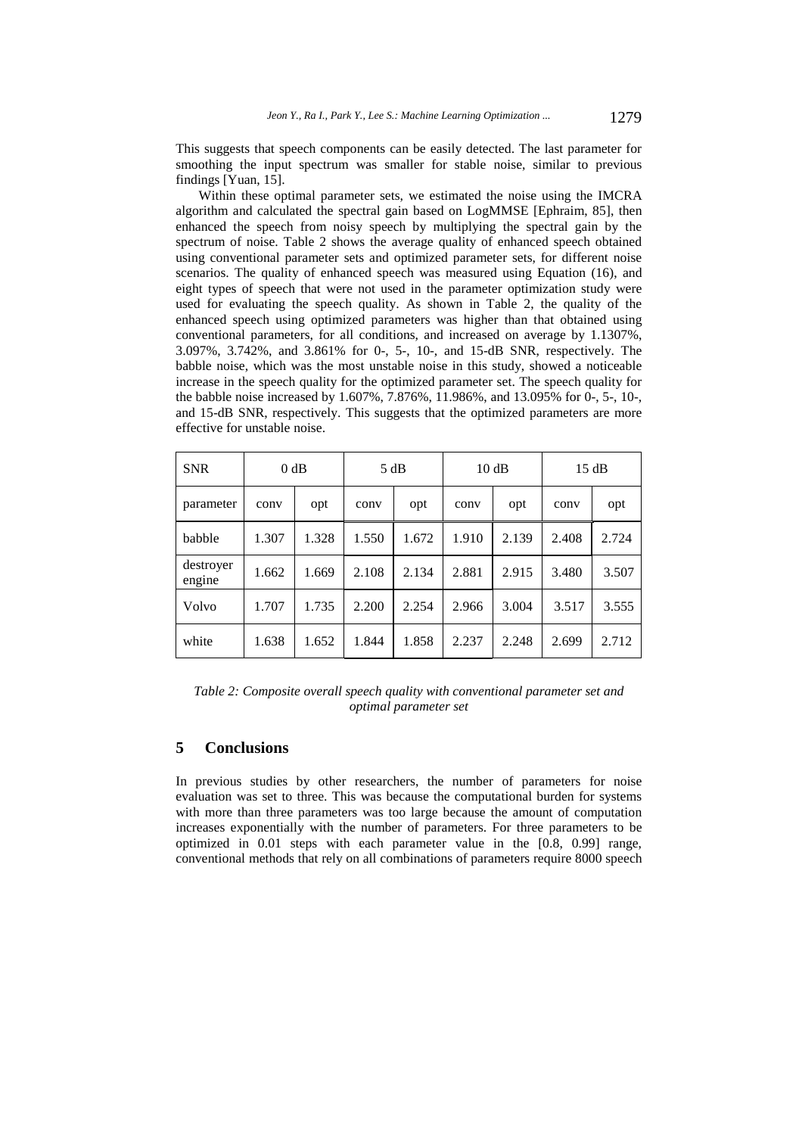This suggests that speech components can be easily detected. The last parameter for smoothing the input spectrum was smaller for stable noise, similar to previous findings [Yuan, 15].

Within these optimal parameter sets, we estimated the noise using the IMCRA algorithm and calculated the spectral gain based on LogMMSE [Ephraim, 85], then enhanced the speech from noisy speech by multiplying the spectral gain by the spectrum of noise. Table 2 shows the average quality of enhanced speech obtained using conventional parameter sets and optimized parameter sets, for different noise scenarios. The quality of enhanced speech was measured using Equation (16), and eight types of speech that were not used in the parameter optimization study were used for evaluating the speech quality. As shown in Table 2, the quality of the enhanced speech using optimized parameters was higher than that obtained using conventional parameters, for all conditions, and increased on average by 1.1307%, 3.097%, 3.742%, and 3.861% for 0-, 5-, 10-, and 15-dB SNR, respectively. The babble noise, which was the most unstable noise in this study, showed a noticeable increase in the speech quality for the optimized parameter set. The speech quality for the babble noise increased by 1.607%, 7.876%, 11.986%, and 13.095% for 0-, 5-, 10-, and 15-dB SNR, respectively. This suggests that the optimized parameters are more effective for unstable noise.

| <b>SNR</b>          | 0 dB  |       | 5 dB  |       | 10dB  |       | 15 dB |       |
|---------------------|-------|-------|-------|-------|-------|-------|-------|-------|
| parameter           | conv  | opt   | conv  | opt   | conv  | opt   | conv  | opt   |
| babble              | 1.307 | 1.328 | 1.550 | 1.672 | 1.910 | 2.139 | 2.408 | 2.724 |
| destroyer<br>engine | 1.662 | 1.669 | 2.108 | 2.134 | 2.881 | 2.915 | 3.480 | 3.507 |
| Volvo               | 1.707 | 1.735 | 2.200 | 2.254 | 2.966 | 3.004 | 3.517 | 3.555 |
| white               | 1.638 | 1.652 | 1.844 | 1.858 | 2.237 | 2.248 | 2.699 | 2.712 |

*Table 2: Composite overall speech quality with conventional parameter set and optimal parameter set* 

## **5 Conclusions**

In previous studies by other researchers, the number of parameters for noise evaluation was set to three. This was because the computational burden for systems with more than three parameters was too large because the amount of computation increases exponentially with the number of parameters. For three parameters to be optimized in 0.01 steps with each parameter value in the [0.8, 0.99] range, conventional methods that rely on all combinations of parameters require 8000 speech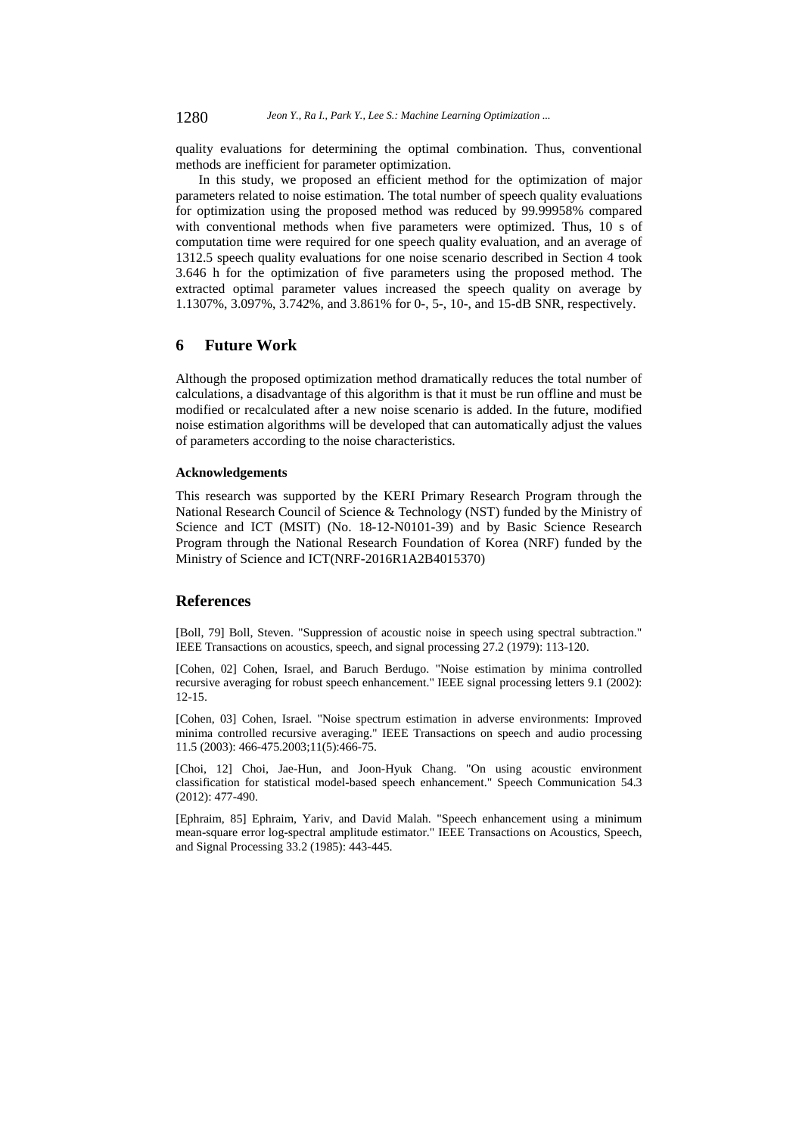quality evaluations for determining the optimal combination. Thus, conventional methods are inefficient for parameter optimization.

In this study, we proposed an efficient method for the optimization of major parameters related to noise estimation. The total number of speech quality evaluations for optimization using the proposed method was reduced by 99.99958% compared with conventional methods when five parameters were optimized. Thus, 10 s of computation time were required for one speech quality evaluation, and an average of 1312.5 speech quality evaluations for one noise scenario described in Section 4 took 3.646 h for the optimization of five parameters using the proposed method. The extracted optimal parameter values increased the speech quality on average by 1.1307%, 3.097%, 3.742%, and 3.861% for 0-, 5-, 10-, and 15-dB SNR, respectively.

## **6 Future Work**

Although the proposed optimization method dramatically reduces the total number of calculations, a disadvantage of this algorithm is that it must be run offline and must be modified or recalculated after a new noise scenario is added. In the future, modified noise estimation algorithms will be developed that can automatically adjust the values of parameters according to the noise characteristics.

#### **Acknowledgements**

This research was supported by the KERI Primary Research Program through the National Research Council of Science & Technology (NST) funded by the Ministry of Science and ICT (MSIT) (No. 18-12-N0101-39) and by Basic Science Research Program through the National Research Foundation of Korea (NRF) funded by the Ministry of Science and ICT(NRF-2016R1A2B4015370)

#### **References**

[Boll, 79] Boll, Steven. "Suppression of acoustic noise in speech using spectral subtraction." IEEE Transactions on acoustics, speech, and signal processing 27.2 (1979): 113-120.

[Cohen, 02] Cohen, Israel, and Baruch Berdugo. "Noise estimation by minima controlled recursive averaging for robust speech enhancement." IEEE signal processing letters 9.1 (2002): 12-15.

[Cohen, 03] Cohen, Israel. "Noise spectrum estimation in adverse environments: Improved minima controlled recursive averaging." IEEE Transactions on speech and audio processing 11.5 (2003): 466-475.2003;11(5):466-75.

[Choi, 12] Choi, Jae-Hun, and Joon-Hyuk Chang. "On using acoustic environment classification for statistical model-based speech enhancement." Speech Communication 54.3 (2012): 477-490.

[Ephraim, 85] Ephraim, Yariv, and David Malah. "Speech enhancement using a minimum mean-square error log-spectral amplitude estimator." IEEE Transactions on Acoustics, Speech, and Signal Processing 33.2 (1985): 443-445.